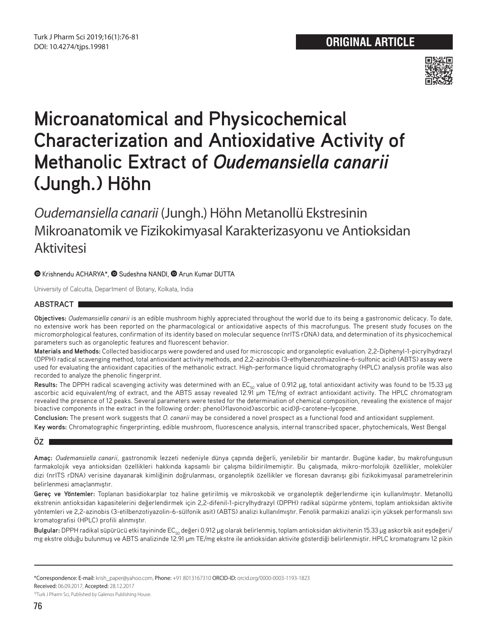

# **Microanatomical and Physicochemical Characterization and Antioxidative Activity of Methanolic Extract of** *Oudemansiella canarii* **(Jungh.) Höhn**

*Oudemansiella canarii* (Jungh.) Höhn Metanollü Ekstresinin Mikroanatomik ve Fizikokimyasal Karakterizasyonu ve Antioksidan **Aktivitesi** 

# $\bullet$ Krishnendu ACHARYA\*,  $\bullet$  Sudeshna NANDI,  $\bullet$  Arun Kumar DUTTA

University of Calcutta, Department of Botany, Kolkata, India

## **ABSTRACT**

**Objectives:** *Oudemansiella canarii* is an edible mushroom highly appreciated throughout the world due to its being a gastronomic delicacy. To date, no extensive work has been reported on the pharmacological or antioxidative aspects of this macrofungus. The present study focuses on the micromorphological features, confirmation of its identity based on molecular sequence (nrITS rDNA) data, and determination of its physicochemical parameters such as organoleptic features and fluorescent behavior.

**Materials and Methods:** Collected basidiocarps were powdered and used for microscopic and organoleptic evaluation. 2,2-Diphenyl-1-picrylhydrazyl (DPPH) radical scavenging method, total antioxidant activity methods, and 2,2-azinobis (3-ethylbenzothiazoline-6-sulfonic acid) (ABTS) assay were used for evaluating the antioxidant capacities of the methanolic extract. High-performance liquid chromatography (HPLC) analysis profile was also recorded to analyze the phenolic fingerprint.

Results: The DPPH radical scavenging activity was determined with an EC<sub>50</sub> value of 0.912 μg, total antioxidant activity was found to be 15.33 μg ascorbic acid equivalent/mg of extract, and the ABTS assay revealed 12.91 μm TE/mg of extract antioxidant activity. The HPLC chromatogram revealed the presence of 12 peaks. Several parameters were tested for the determination of chemical composition, revealing the existence of major bioactive components in the extract in the following order: phenol>flavonoid>ascorbic acid>β-carotene~lycopene.

**Conclusion:** The present work suggests that *O. canarii* may be considered a novel prospect as a functional food and antioxidant supplement.

**Key words:** Chromatographic fingerprinting, edible mushroom, fluorescence analysis, internal transcribed spacer, phytochemicals, West Bengal

## **ÖZ**

**Amaç:** *Oudemansiella canarii*, gastronomik lezzeti nedeniyle dünya çapında değerli, yenilebilir bir mantardır. Bugüne kadar, bu makrofungusun farmakolojik veya antioksidan özellikleri hakkında kapsamlı bir çalışma bildirilmemiştir. Bu çalışmada, mikro-morfolojik özellikler, moleküler dizi (nrITS rDNA) verisine dayanarak kimliğinin doğrulanması, organoleptik özellikler ve floresan davranışı gibi fizikokimyasal parametrelerinin belirlenmesi amaçlanmıştır.

**Gereç ve Yöntemler:** Toplanan basidiokarplar toz haline getirilmiş ve mikroskobik ve organoleptik değerlendirme için kullanılmıştır. Metanollü ekstrenin antioksidan kapasitelerini değerlendirmek için 2,2-difenil-1-picrylhydrazyl (DPPH) radikal süpürme yöntemi, toplam antioksidan aktivite yöntemleri ve 2,2-azinobis (3-etilbenzotiyazolin-6-sülfonik asit) (ABTS) analizi kullanılmıştır. Fenolik parmakizi analizi için yüksek performanslı sıvı kromatografisi (HPLC) profili alınmıştır.

**Bulgular:** DPPH radikal süpürücü etki tayininde EC<sub>50</sub> değeri 0.912 μg olarak belirlenmiş, toplam antioksidan aktivitenin 15.33 μg askorbik asit eşdeğeri/ mg ekstre olduğu bulunmuş ve ABTS analizinde 12.91 μm TE/mg ekstre ile antioksidan aktivite gösterdiği belirlenmiştir. HPLC kromatogramı 12 pikin

<sup>\*</sup>Correspondence: E-mail: krish\_paper@yahoo.com, Phone: +91 8013167310 ORCID-ID: orcid.org/0000-0003-1193-1823

Received: 06.09.2017, Accepted: 28.12.2017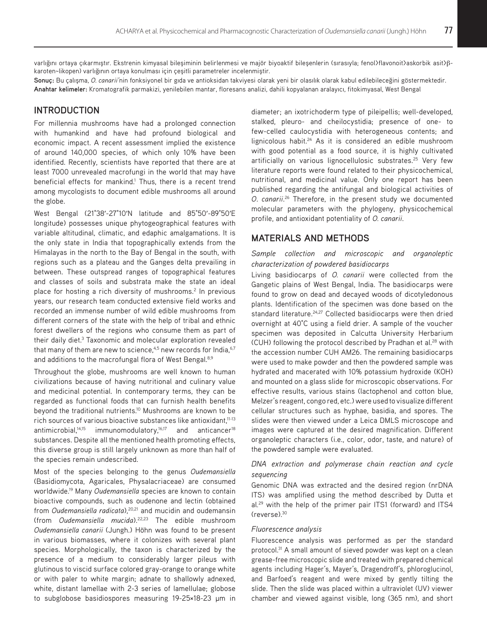varlığını ortaya çıkarmıştır. Ekstrenin kimyasal bileşiminin belirlenmesi ve majör biyoaktif bileşenlerin (sırasıyla; fenol>flavonoit>askorbik asit>βkaroten~likopen) varlığının ortaya konulması için çeşitli parametreler incelenmiştir.

**Sonuç:** Bu çalışma, *O. canarii'*nin fonksiyonel bir gıda ve antioksidan takviyesi olarak yeni bir olasılık olarak kabul edilebileceğini göstermektedir. **Anahtar kelimeler:** Kromatografik parmakizi, yenilebilen mantar, floresans analizi, dahili kopyalanan aralayıcı, fitokimyasal, West Bengal

# **INTRODUCTION**

For millennia mushrooms have had a prolonged connection with humankind and have had profound biological and economic impact. A recent assessment implied the existence of around 140,000 species, of which only 10% have been identified. Recently, scientists have reported that there are at least 7000 unrevealed macrofungi in the world that may have beneficial effects for mankind.<sup>1</sup> Thus, there is a recent trend among mycologists to document edible mushrooms all around the globe.

West Bengal (21°38ʹ-27°10ʹN latitude and 85°50ʹ-89°50ʹE longitude) possesses unique phytogeographical features with variable altitudinal, climatic, and edaphic amalgamations. It is the only state in India that topographically extends from the Himalayas in the north to the Bay of Bengal in the south, with regions such as a plateau and the Ganges delta prevailing in between. These outspread ranges of topographical features and classes of soils and substrata make the state an ideal place for hosting a rich diversity of mushrooms.<sup>2</sup> In previous years, our research team conducted extensive field works and recorded an immense number of wild edible mushrooms from different corners of the state with the help of tribal and ethnic forest dwellers of the regions who consume them as part of their daily diet.<sup>3</sup> Taxonomic and molecular exploration revealed that many of them are new to science,  $4.5$  new records for India,  $6.7$ and additions to the macrofungal flora of West Bengal.<sup>8,9</sup>

Throughout the globe, mushrooms are well known to human civilizations because of having nutritional and culinary value and medicinal potential. In contemporary terms, they can be regarded as functional foods that can furnish health benefits beyond the traditional nutrients.<sup>10</sup> Mushrooms are known to be rich sources of various bioactive substances like antioxidant,<sup>11-13</sup> antimicrobial, $14,15$  immunomodulatory, $16,17$  and anticancer<sup>18</sup> substances. Despite all the mentioned health promoting effects, this diverse group is still largely unknown as more than half of the species remain undescribed.

Most of the species belonging to the genus *Oudemansiella* (Basidiomycota, Agaricales, Physalacriaceae) are consumed worldwide.19 Many *Oudemansiella* species are known to contain bioactive compounds, such as oudenone and lectin (obtained from *Oudemansiella radicata*),20,21 and mucidin and oudemansin (from *Oudemansiella mucida*).22,23 The edible mushroom *Oudemansiella canarii* (Jungh.) Höhn was found to be present in various biomasses, where it colonizes with several plant species. Morphologically, the taxon is characterized by the presence of a medium to considerably larger pileus with glutinous to viscid surface colored gray-orange to orange white or with paler to white margin; adnate to shallowly adnexed, white, distant lamellae with 2-3 series of lamellulae; globose to subglobose basidiospores measuring 19-25×18-23 μm in diameter; an ixotrichoderm type of pileipellis; well-developed, stalked, pleuro- and cheilocystidia; presence of one- to few-celled caulocystidia with heterogeneous contents; and lignicolous habit.24 As it is considered an edible mushroom with good potential as a food source, it is highly cultivated artificially on various lignocellulosic substrates.<sup>25</sup> Very few literature reports were found related to their physicochemical, nutritional, and medicinal value. Only one report has been published regarding the antifungal and biological activities of *O*. *canarii*. 26 Therefore, in the present study we documented molecular parameters with the phylogeny, physicochemical profile, and antioxidant potentiality of *O. canarii*.

77

# **MATERIALS AND METHODS**

## *Sample collection and microscopic and organoleptic characterization of powdered basidiocarps*

Living basidiocarps of *O. canarii* were collected from the Gangetic plains of West Bengal, India. The basidiocarps were found to grow on dead and decayed woods of dicotyledonous plants. Identification of the specimen was done based on the standard literature.<sup>24,27</sup> Collected basidiocarps were then dried overnight at 40°C using a field drier. A sample of the voucher specimen was deposited in Calcutta University Herbarium (CUH) following the protocol described by Pradhan et al.<sup>28</sup> with the accession number CUH AM26. The remaining basidiocarps were used to make powder and then the powdered sample was hydrated and macerated with 10% potassium hydroxide (KOH) and mounted on a glass slide for microscopic observations. For effective results, various stains (lactophenol and cotton blue, Melzer's reagent, congo red, etc.) were used to visualize different cellular structures such as hyphae, basidia, and spores. The slides were then viewed under a Leica DMLS microscope and images were captured at the desired magnification. Different organoleptic characters (i.e., color, odor, taste, and nature) of the powdered sample were evaluated.

# *DNA extraction and polymerase chain reaction and cycle sequencing*

Genomic DNA was extracted and the desired region (nrDNA ITS) was amplified using the method described by Dutta et al*.* 29 with the help of the primer pair ITS1 (forward) and ITS4 (reverse).30

#### *Fluorescence analysis*

Fluorescence analysis was performed as per the standard protocol.<sup>31</sup> A small amount of sieved powder was kept on a clean grease-free microscopic slide and treated with prepared chemical agents including Hager's, Mayer's, Dragendroff's, phloroglucinol, and Barfoed's reagent and were mixed by gently tilting the slide. Then the slide was placed within a ultraviolet (UV) viewer chamber and viewed against visible, long (365 nm), and short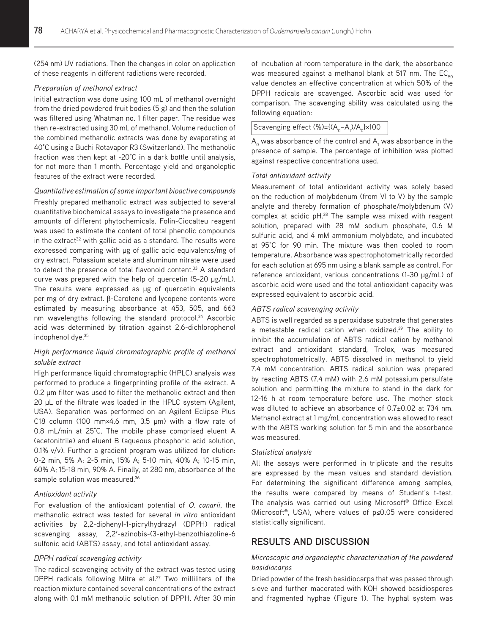(254 nm) UV radiations. Then the changes in color on application of these reagents in different radiations were recorded.

## *Preparation of methanol extract*

Initial extraction was done using 100 mL of methanol overnight from the dried powdered fruit bodies (5 g) and then the solution was filtered using Whatman no. 1 filter paper. The residue was then re-extracted using 30 mL of methanol. Volume reduction of the combined methanolic extracts was done by evaporating at 40°C using a Buchi Rotavapor R3 (Switzerland). The methanolic fraction was then kept at -20°C in a dark bottle until analysis, for not more than 1 month. Percentage yield and organoleptic features of the extract were recorded.

#### *Quantitative estimation of some important bioactive compounds*

Freshly prepared methanolic extract was subjected to several quantitative biochemical assays to investigate the presence and amounts of different phytochemicals. Folin-Ciocalteu reagent was used to estimate the content of total phenolic compounds in the extract<sup>32</sup> with gallic acid as a standard. The results were expressed comparing with μg of gallic acid equivalents/mg of dry extract. Potassium acetate and aluminum nitrate were used to detect the presence of total flavonoid content.<sup>33</sup> A standard curve was prepared with the help of quercetin (5-20 μg/mL). The results were expressed as µg of quercetin equivalents per mg of dry extract. β-Carotene and lycopene contents were estimated by measuring absorbance at 453, 505, and 663 nm wavelengths following the standard protocol.<sup>34</sup> Ascorbic acid was determined by titration against 2,6-dichlorophenol indophenol dye.35

# *High performance liquid chromatographic profile of methanol soluble extract*

High performance liquid chromatographic (HPLC) analysis was performed to produce a fingerprinting profile of the extract. A 0.2 μm filter was used to filter the methanolic extract and then 20 μL of the filtrate was loaded in the HPLC system (Agilent, USA). Separation was performed on an Agilent Eclipse Plus C18 column (100 mm×4.6 mm, 3.5 μm) with a flow rate of 0.8 mL/min at 25°C. The mobile phase comprised eluent A (acetonitrile) and eluent B (aqueous phosphoric acid solution, 0.1% v/v). Further a gradient program was utilized for elution: 0-2 min, 5% A; 2-5 min, 15% A; 5-10 min, 40% A; 10-15 min, 60% A; 15-18 min, 90% A. Finally, at 280 nm, absorbance of the sample solution was measured.<sup>36</sup>

## *Antioxidant activity*

For evaluation of the antioxidant potential of *O. canarii*, the methanolic extract was tested for several *in vitro* antioxidant activities by 2,2-diphenyl-1-picrylhydrazyl (DPPH) radical scavenging assay, 2,2ʹ-azinobis-(3-ethyl-benzothiazoline-6 sulfonic acid (ABTS) assay, and total antioxidant assay.

## *DPPH radical scavenging activity*

The radical scavenging activity of the extract was tested using DPPH radicals following Mitra et al.<sup>37</sup> Two milliliters of the reaction mixture contained several concentrations of the extract along with 0.1 mM methanolic solution of DPPH. After 30 min

of incubation at room temperature in the dark, the absorbance was measured against a methanol blank at 517 nm. The  $EC_{50}$ value denotes an effective concentration at which 50% of the DPPH radicals are scavenged. Ascorbic acid was used for comparison. The scavenging ability was calculated using the following equation:

# $\big|$ Scavenging effect (%)={(A<sub>0</sub>–A<sub>1</sub>)/A<sub>0</sub>}×100

 ${\sf A}_{{}_0}$  was absorbance of the control and  ${\sf A}_{{}_1}$  was absorbance in the presence of sample. The percentage of inhibition was plotted against respective concentrations used.

#### *Total antioxidant activity*

Measurement of total antioxidant activity was solely based on the reduction of molybdenum (from VI to V) by the sample analyte and thereby formation of phosphate/molybdenum (V) complex at acidic pH.<sup>38</sup> The sample was mixed with reagent solution, prepared with 28 mM sodium phosphate, 0.6 M sulfuric acid, and 4 mM ammonium molybdate, and incubated at 95°C for 90 min. The mixture was then cooled to room temperature. Absorbance was spectrophotometrically recorded for each solution at 695 nm using a blank sample as control. For reference antioxidant, various concentrations (1-30 μg/mL) of ascorbic acid were used and the total antioxidant capacity was expressed equivalent to ascorbic acid.

## *ABTS radical scavenging activity*

ABTS is well regarded as a peroxidase substrate that generates a metastable radical cation when oxidized.<sup>39</sup> The ability to inhibit the accumulation of ABTS radical cation by methanol extract and antioxidant standard, Trolox, was measured spectrophotometrically. ABTS dissolved in methanol to yield 7.4 mM concentration. ABTS radical solution was prepared by reacting ABTS (7.4 mM) with 2.6 mM potassium persulfate solution and permitting the mixture to stand in the dark for 12-16 h at room temperature before use. The mother stock was diluted to achieve an absorbance of 0.7±0.02 at 734 nm. Methanol extract at 1 mg/mL concentration was allowed to react with the ABTS working solution for 5 min and the absorbance was measured.

## *Statistical analysis*

All the assays were performed in triplicate and the results are expressed by the mean values and standard deviation. For determining the significant difference among samples, the results were compared by means of Student's t-test. The analysis was carried out using Microsoft® Office Excel (Microsoft®, USA), where values of p≤0.05 were considered statistically significant.

## **RESULTS AND DISCUSSION**

# *Microscopic and organoleptic characterization of the powdered basidiocarps*

Dried powder of the fresh basidiocarps that was passed through sieve and further macerated with KOH showed basidiospores and fragmented hyphae (Figure 1). The hyphal system was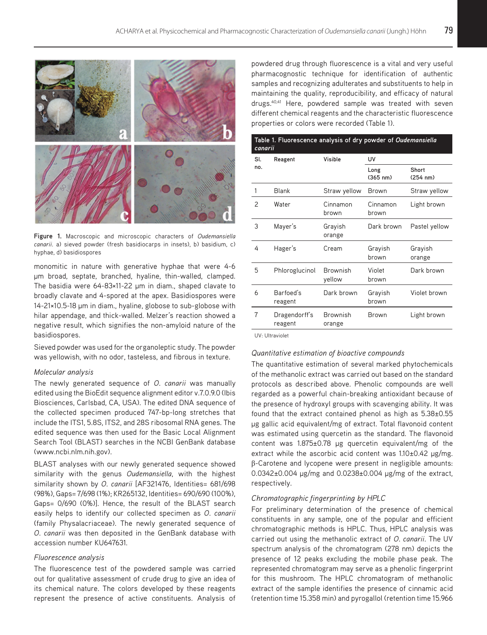

**Figure 1.** Macroscopic and microscopic characters of *Oudemansiella canarii*. a) sieved powder (fresh basidiocarps in insets), b) basidium, c) hyphae, d) basidiospores

monomitic in nature with generative hyphae that were 4-6 μm broad, septate, branched, hyaline, thin-walled, clamped. The basidia were 64-83×11-22 μm in diam., shaped clavate to broadly clavate and 4-spored at the apex. Basidiospores were 14-21×10.5-18 μm in diam., hyaline, globose to sub-globose with hilar appendage, and thick-walled. Melzer's reaction showed a negative result, which signifies the non-amyloid nature of the basidiospores.

Sieved powder was used for the organoleptic study. The powder was yellowish, with no odor, tasteless, and fibrous in texture.

#### *Molecular analysis*

The newly generated sequence of *O*. *canarii* was manually edited using the BioEdit sequence alignment editor v.7.0.9.0 (Ibis Biosciences, Carlsbad, CA, USA). The edited DNA sequence of the collected specimen produced 747-bp-long stretches that include the ITS1, 5.8S, ITS2, and 28S ribosomal RNA genes. The edited sequence was then used for the Basic Local Alignment Search Tool (BLAST) searches in the NCBI GenBank database (www.ncbi.nlm.nih.gov).

BLAST analyses with our newly generated sequence showed similarity with the genus *Oudemansiella*, with the highest similarity shown by *O*. *canarii* [AF321476, Identities= 681/698 (98%), Gaps= 7/698 (1%); KR265132, Identities= 690/690 (100%), Gaps= 0/690 (0%)]. Hence, the result of the BLAST search easily helps to identify our collected specimen as *O*. *canarii* (family Physalacriaceae). The newly generated sequence of *O*. *canarii* was then deposited in the GenBank database with accession number KU647631.

## *Fluorescence analysis*

The fluorescence test of the powdered sample was carried out for qualitative assessment of crude drug to give an idea of its chemical nature. The colors developed by these reagents represent the presence of active constituents. Analysis of powdered drug through fluorescence is a vital and very useful pharmacognostic technique for identification of authentic samples and recognizing adulterates and substituents to help in maintaining the quality, reproducibility, and efficacy of natural drugs.<sup>40,41</sup> Here, powdered sample was treated with seven different chemical reagents and the characteristic fluorescence properties or colors were recorded (Table 1).

| Table 1. Fluorescence analysis of dry powder of <i>Oudemansiella</i><br>canarii |                          |                           |                            |                             |  |  |
|---------------------------------------------------------------------------------|--------------------------|---------------------------|----------------------------|-----------------------------|--|--|
| Sl.                                                                             | Reagent                  | Visible                   | UV                         |                             |  |  |
| no.                                                                             |                          |                           | Long<br>$(365 \text{ nm})$ | Short<br>$(254 \text{ nm})$ |  |  |
| 1                                                                               | <b>Blank</b>             | Straw yellow              | Brown                      | Straw yellow                |  |  |
| 2                                                                               | Water                    | Cinnamon<br>brown         | Cinnamon<br>brown          | Light brown                 |  |  |
| 3                                                                               | Mayer's                  | Grayish<br>orange         | Dark brown                 | Pastel yellow               |  |  |
| 4                                                                               | Hager's                  | Cream                     | Grayish<br>brown           | Grayish<br>orange           |  |  |
| 5                                                                               | Phloroglucinol           | <b>Brownish</b><br>yellow | Violet<br>brown            | Dark brown                  |  |  |
| 6                                                                               | Barfoed's<br>reagent     | Dark brown                | Grayish<br>brown           | Violet brown                |  |  |
| 7                                                                               | Dragendorff's<br>reagent | <b>Brownish</b><br>orange | Brown                      | Light brown                 |  |  |
|                                                                                 |                          |                           |                            |                             |  |  |

UV: Ultraviolet

#### *Quantitative estimation of bioactive compounds*

The quantitative estimation of several marked phytochemicals of the methanolic extract was carried out based on the standard protocols as described above. Phenolic compounds are well regarded as a powerful chain-breaking antioxidant because of the presence of hydroxyl groups with scavenging ability. It was found that the extract contained phenol as high as 5.38±0.55 μg gallic acid equivalent/mg of extract. Total flavonoid content was estimated using quercetin as the standard. The flavonoid content was 1.875±0.78 μg quercetin equivalent/mg of the extract while the ascorbic acid content was 1.10±0.42 μg/mg. β-Carotene and lycopene were present in negligible amounts: 0.0342±0.004 μg/mg and 0.0238±0.004 μg/mg of the extract, respectively.

### *Chromatographic fingerprinting by HPLC*

For preliminary determination of the presence of chemical constituents in any sample, one of the popular and efficient chromatographic methods is HPLC. Thus, HPLC analysis was carried out using the methanolic extract of *O*. *canarii*. The UV spectrum analysis of the chromatogram (278 nm) depicts the presence of 12 peaks excluding the mobile phase peak. The represented chromatogram may serve as a phenolic fingerprint for this mushroom. The HPLC chromatogram of methanolic extract of the sample identifies the presence of cinnamic acid (retention time 15.358 min) and pyrogallol (retention time 15.966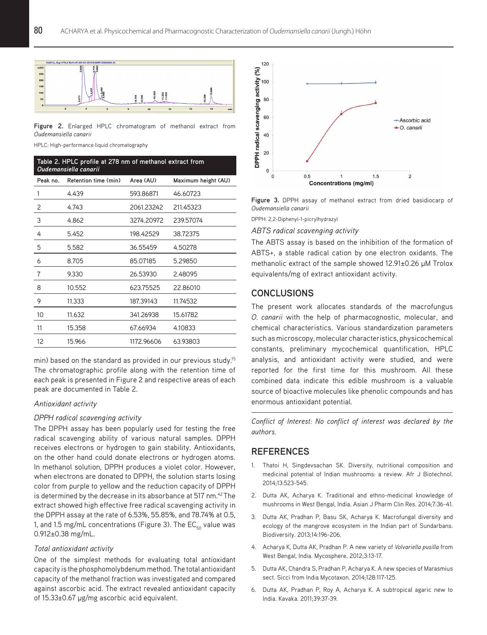

**Figure 2.** Enlarged HPLC chromatogram of methanol extract from *Oudemansiella canarii*

HPLC: High-performance liquid chromatography

| Table 2. HPLC profile at 278 nm of methanol extract from<br>Oudemansiella canarii |                      |            |                     |  |  |  |
|-----------------------------------------------------------------------------------|----------------------|------------|---------------------|--|--|--|
| Peak no.                                                                          | Retention time (min) | Area (AU)  | Maximum height (AU) |  |  |  |
| 1                                                                                 | 4.439                | 593.86871  | 46.60723            |  |  |  |
| 2                                                                                 | 4.743                | 2061.23242 | 211.45323           |  |  |  |
| 3                                                                                 | 4.862                | 3274.20972 | 239.57074           |  |  |  |
| 4                                                                                 | 5.452                | 198.42529  | 38.72375            |  |  |  |
| 5                                                                                 | 5.582                | 36.55459   | 4.50278             |  |  |  |
| 6                                                                                 | 8.705                | 85.07185   | 5.29850             |  |  |  |
| 7                                                                                 | 9.330                | 26.53930   | 2.48095             |  |  |  |
| 8                                                                                 | 10.552               | 623.75525  | 22.86010            |  |  |  |
| 9                                                                                 | 11.333               | 187.39143  | 11.74532            |  |  |  |
| 10                                                                                | 11.632               | 341.26938  | 15.61782            |  |  |  |
| 11                                                                                | 15.358               | 67.66934   | 4.10833             |  |  |  |
| 12                                                                                | 15.966               | 1172.96606 | 63.93803            |  |  |  |

min) based on the standard as provided in our previous study.<sup>15</sup> The chromatographic profile along with the retention time of each peak is presented in Figure 2 and respective areas of each peak are documented in Table 2.

#### *Antioxidant activity*

## *DPPH radical scavenging activity*

The DPPH assay has been popularly used for testing the free radical scavenging ability of various natural samples. DPPH receives electrons or hydrogen to gain stability. Antioxidants, on the other hand could donate electrons or hydrogen atoms. In methanol solution, DPPH produces a violet color. However, when electrons are donated to DPPH, the solution starts losing color from purple to yellow and the reduction capacity of DPPH is determined by the decrease in its absorbance at 517 nm.<sup>42</sup> The extract showed high effective free radical scavenging activity in the DPPH assay at the rate of 6.53%, 55.85%, and 78.74% at 0.5, 1, and 1.5 mg/mL concentrations (Figure 3). The  $EC_{50}$  value was 0.912±0.38 mg/mL.

## *Total antioxidant activity*

One of the simplest methods for evaluating total antioxidant capacity is the phosphomolybdenum method. The total antioxidant capacity of the methanol fraction was investigated and compared against ascorbic acid. The extract revealed antioxidant capacity of 15.33±0.67 μg/mg ascorbic acid equivalent.



**Figure 3.** DPPH assay of methanol extract from dried basidiocarp of *Oudemansiella canarii*

DPPH: 2,2-Diphenyl-1-picrylhydrazyl

*ABTS radical scavenging activity*

The ABTS assay is based on the inhibition of the formation of ABTS+, a stable radical cation by one electron oxidants. The methanolic extract of the sample showed 12.91±0.26 μM Trolox equivalents/mg of extract antioxidant activity.

# **CONCLUSIONS**

The present work allocates standards of the macrofungus *O. canarii* with the help of pharmacognostic, molecular, and chemical characteristics. Various standardization parameters such as microscopy, molecular characteristics, physicochemical constants, preliminary mycochemical quantification, HPLC analysis, and antioxidant activity were studied, and were reported for the first time for this mushroom. All these combined data indicate this edible mushroom is a valuable source of bioactive molecules like phenolic compounds and has enormous antioxidant potential.

*Conflict of Interest: No conflict of interest was declared by the authors.*

# **REFERENCES**

- 1. Thatoi H, Singdevsachan SK. Diversity, nutritional composition and medicinal potential of Indian mushrooms: a review. Afr J Biotechnol. 2014;13:523-545.
- 2. Dutta AK, Acharya K. Traditional and ethno-medicinal knowledge of mushrooms in West Bengal, India. Asian J Pharm Clin Res. 2014;7:36-41.
- 3. Dutta AK, Pradhan P, Basu SK, Acharya K. Macrofungal diversity and ecology of the mangrove ecosystem in the Indian part of Sundarbans. Biodiversity. 2013;14:196-206.
- 4. Acharya K, Dutta AK, Pradhan P. A new variety of *Volvariella pusilla* from West Bengal, India. Mycosphere. 2012;3:13-17.
- 5. Dutta AK, Chandra S, Pradhan P, Acharya K. A new species of Marasmius sect. Sicci from India Mycotaxon. 2014;128:117-125.
- 6. Dutta AK, Pradhan P, Roy A, Acharya K. A subtropical agaric new to India. Kavaka. 2011;39:37-39.